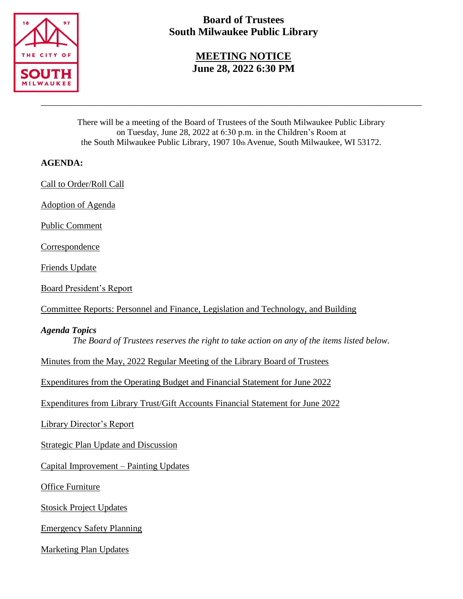

# **Board of Trustees South Milwaukee Public Library**

**MEETING NOTICE June 28, 2022 6:30 PM**

There will be a meeting of the Board of Trustees of the South Milwaukee Public Library on Tuesday, June 28, 2022 at 6:30 p.m. in the Children's Room at the South Milwaukee Public Library, 1907 10th Avenue, South Milwaukee, WI 53172.

\_\_\_\_\_\_\_\_\_\_\_\_\_\_\_\_\_\_\_\_\_\_\_\_\_\_\_\_\_\_\_\_\_\_\_\_\_\_\_\_\_\_\_\_\_\_\_\_\_\_\_\_\_\_\_\_\_\_\_\_\_\_\_\_\_\_\_\_\_\_\_\_\_\_\_\_\_\_\_\_\_\_\_\_

# **AGENDA:**

Call to Order/Roll Call

Adoption of Agenda

Public Comment

**Correspondence** 

Friends Update

Board President's Report

Committee Reports: Personnel and Finance, Legislation and Technology, and Building

## *Agenda Topics*

*The Board of Trustees reserves the right to take action on any of the items listed below.*

Minutes from the May, 2022 Regular Meeting of the Library Board of Trustees

Expenditures from the Operating Budget and Financial Statement for June 2022

Expenditures from Library Trust/Gift Accounts Financial Statement for June 2022

Library Director's Report

Strategic Plan Update and Discussion

Capital Improvement – Painting Updates

Office Furniture

Stosick Project Updates

Emergency Safety Planning

Marketing Plan Updates